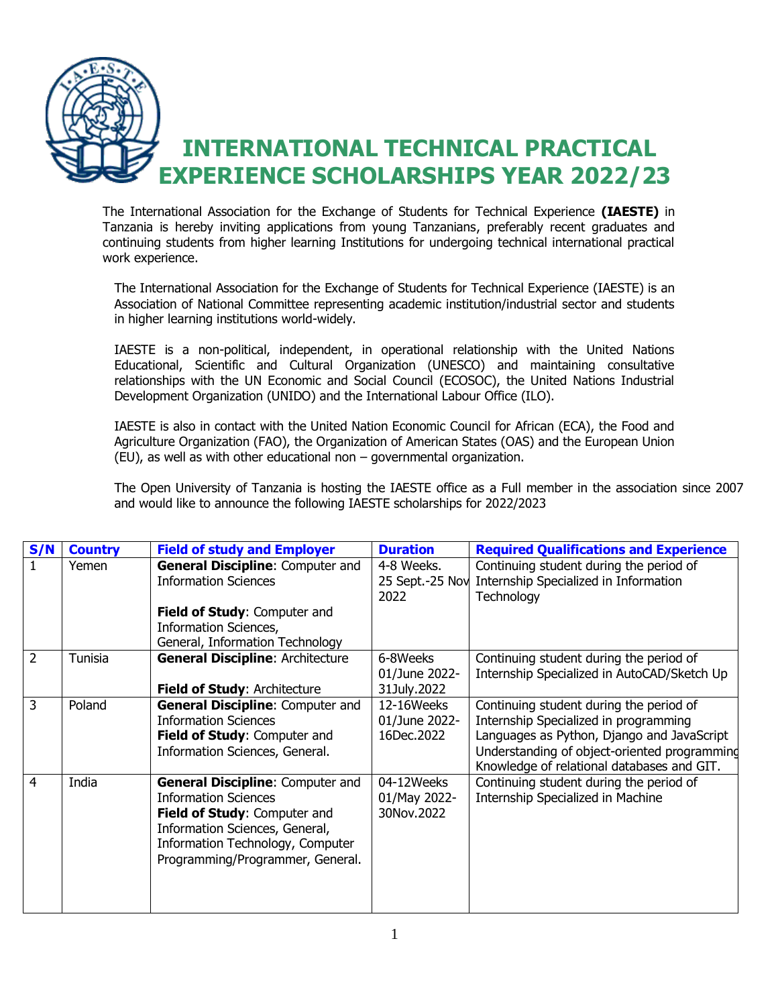

The International Association for the Exchange of Students for Technical Experience **(IAESTE)** in Tanzania is hereby inviting applications from young Tanzanians, preferably recent graduates and continuing students from higher learning Institutions for undergoing technical international practical work experience.

The International Association for the Exchange of Students for Technical Experience (IAESTE) is an Association of National Committee representing academic institution/industrial sector and students in higher learning institutions world-widely.

IAESTE is a non-political, independent, in operational relationship with the United Nations Educational, Scientific and Cultural Organization (UNESCO) and maintaining consultative relationships with the UN Economic and Social Council (ECOSOC), the United Nations Industrial Development Organization (UNIDO) and the International Labour Office (ILO).

IAESTE is also in contact with the United Nation Economic Council for African (ECA), the Food and Agriculture Organization (FAO), the Organization of American States (OAS) and the European Union (EU), as well as with other educational non – governmental organization.

The Open University of Tanzania is hosting the IAESTE office as a Full member in the association since 2007 and would like to announce the following IAESTE scholarships for 2022/2023

| S/N            | <b>Country</b> | <b>Field of study and Employer</b>      | <b>Duration</b> | <b>Required Qualifications and Experience</b> |
|----------------|----------------|-----------------------------------------|-----------------|-----------------------------------------------|
|                | Yemen          | <b>General Discipline: Computer and</b> | 4-8 Weeks.      | Continuing student during the period of       |
|                |                | <b>Information Sciences</b>             | 25 Sept.-25 Nov | Internship Specialized in Information         |
|                |                |                                         | 2022            | Technology                                    |
|                |                | Field of Study: Computer and            |                 |                                               |
|                |                | Information Sciences,                   |                 |                                               |
|                |                | General, Information Technology         |                 |                                               |
| 2              | Tunisia        | <b>General Discipline: Architecture</b> | 6-8Weeks        | Continuing student during the period of       |
|                |                |                                         | 01/June 2022-   | Internship Specialized in AutoCAD/Sketch Up   |
|                |                | Field of Study: Architecture            | 31July.2022     |                                               |
| 3              | Poland         | <b>General Discipline: Computer and</b> | 12-16Weeks      | Continuing student during the period of       |
|                |                | <b>Information Sciences</b>             | 01/June 2022-   | Internship Specialized in programming         |
|                |                | Field of Study: Computer and            | 16Dec.2022      | Languages as Python, Django and JavaScript    |
|                |                | Information Sciences, General.          |                 | Understanding of object-oriented programming  |
|                |                |                                         |                 | Knowledge of relational databases and GIT.    |
| $\overline{4}$ | India          | <b>General Discipline: Computer and</b> | 04-12Weeks      | Continuing student during the period of       |
|                |                | <b>Information Sciences</b>             | 01/May 2022-    | Internship Specialized in Machine             |
|                |                | Field of Study: Computer and            | 30Nov.2022      |                                               |
|                |                | Information Sciences, General,          |                 |                                               |
|                |                | Information Technology, Computer        |                 |                                               |
|                |                | Programming/Programmer, General.        |                 |                                               |
|                |                |                                         |                 |                                               |
|                |                |                                         |                 |                                               |
|                |                |                                         |                 |                                               |